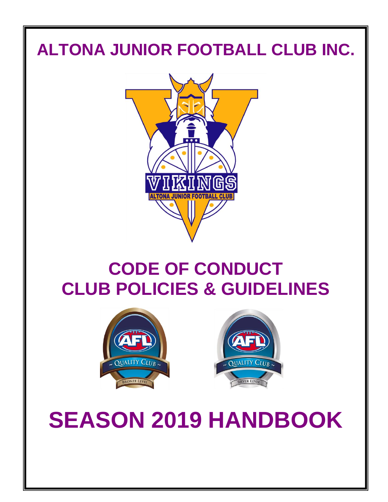# **ALTONA JUNIOR FOOTBALL CLUB INC.**



# **CODE OF CONDUCT CLUB POLICIES & GUIDELINES**





**SEASON 2019 HANDBOOK**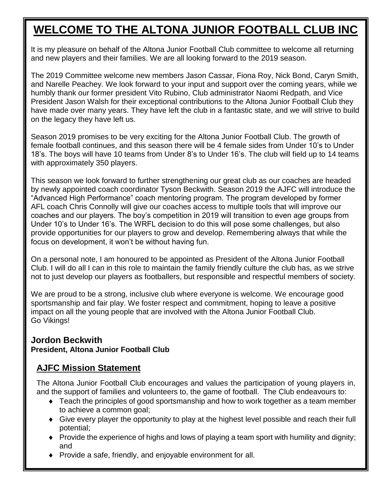## **WELCOME TO THE ALTONA JUNIOR FOOTBALL CLUB INC**

It is my pleasure on behalf of the Altona Junior Football Club committee to welcome all returning and new players and their families. We are all looking forward to the 2019 season.

The 2019 Committee welcome new members Jason Cassar, Fiona Roy, Nick Bond, Caryn Smith, and Narelle Peachey. We look forward to your input and support over the coming years, while we humbly thank our former president Vito Rubino, Club administrator Naomi Redpath, and Vice President Jason Walsh for their exceptional contributions to the Altona Junior Football Club they have made over many years. They have left the club in a fantastic state, and we will strive to build on the legacy they have left us.

Season 2019 promises to be very exciting for the Altona Junior Football Club. The growth of female football continues, and this season there will be 4 female sides from Under 10's to Under 18's. The boys will have 10 teams from Under 8's to Under 16's. The club will field up to 14 teams with approximately 350 players.

This season we look forward to further strengthening our great club as our coaches are headed by newly appointed coach coordinator Tyson Beckwith. Season 2019 the AJFC will introduce the "Advanced High Performance" coach mentoring program. The program developed by former AFL coach Chris Connolly will give our coaches access to multiple tools that will improve our coaches and our players. The boy's competition in 2019 will transition to even age groups from Under 10's to Under 16's. The WRFL decision to do this will pose some challenges, but also provide opportunities for our players to grow and develop. Remembering always that while the focus on development, it won't be without having fun.

On a personal note, I am honoured to be appointed as President of the Altona Junior Football Club. I will do all I can in this role to maintain the family friendly culture the club has, as we strive not to just develop our players as footballers, but responsible and respectful members of society.

We are proud to be a strong, inclusive club where everyone is welcome. We encourage good sportsmanship and fair play. We foster respect and commitment, hoping to leave a positive impact on all the young people that are involved with the Altona Junior Football Club. Go Vikings!

#### **Jordon Beckwith President, Altona Junior Football Club**

### **AJFC Mission Statement**

The Altona Junior Football Club encourages and values the participation of young players in, and the support of families and volunteers to, the game of football. The Club endeavours to:

- ◆ Teach the principles of good sportsmanship and how to work together as a team member to achieve a common goal;
- Give every player the opportunity to play at the highest level possible and reach their full potential;
- Provide the experience of highs and lows of playing a team sport with humility and dignity; and
- Provide a safe, friendly, and enjoyable environment for all.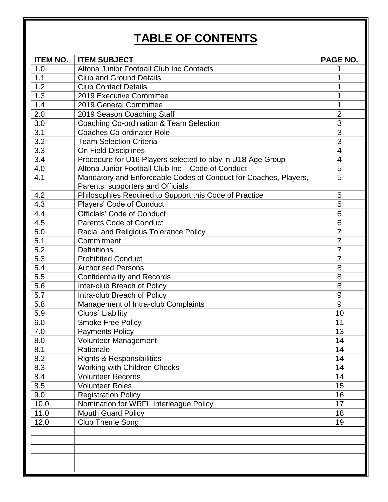## **TABLE OF CONTENTS**

| <b>ITEM NO.</b> | <b>ITEM SUBJECT</b>                                              | PAGE NO.       |
|-----------------|------------------------------------------------------------------|----------------|
| 1.0             | Altona Junior Football Club Inc Contacts                         |                |
| 1.1             | <b>Club and Ground Details</b>                                   | 1              |
| 1.2             | <b>Club Contact Details</b>                                      | 1              |
| 1.3             | 2019 Executive Committee                                         | 1              |
| 1.4             | 2019 General Committee                                           | 1              |
| 2.0             | 2019 Season Coaching Staff                                       | $\overline{2}$ |
| 3.0             | Coaching Co-ordination & Team Selection                          | 3              |
| 3.1             | <b>Coaches Co-ordinator Role</b>                                 | 3              |
| 3.2             | <b>Team Selection Criteria</b>                                   | 3              |
| 3.3             | On Field Disciplines                                             | $\overline{4}$ |
| 3.4             | Procedure for U16 Players selected to play in U18 Age Group      | 4              |
| 4.0             | Altona Junior Football Club Inc - Code of Conduct                | 5              |
| 4.1             | Mandatory and Enforceable Codes of Conduct for Coaches, Players, | 5              |
|                 | Parents, supporters and Officials                                |                |
| 4.2             | Philosophies Required to Support this Code of Practice           | 5              |
| 4.3             | Players' Code of Conduct                                         | 5              |
| 4.4             | <b>Officials' Code of Conduct</b>                                | 6              |
| 4.5             | <b>Parents Code of Conduct</b>                                   | 6              |
| 5.0             | Racial and Religious Tolerance Policy                            | $\overline{7}$ |
| 5.1             | Commitment                                                       | $\overline{7}$ |
| 5.2             | <b>Definitions</b>                                               | 7              |
| 5.3             | <b>Prohibited Conduct</b>                                        | 7              |
| 5.4             | <b>Authorised Persons</b>                                        | 8              |
| 5.5             | <b>Confidentiality and Records</b>                               | 8              |
| 5.6             | Inter-club Breach of Policy                                      | 8              |
| 5.7             | Intra-club Breach of Policy                                      | 9              |
| 5.8             | Management of Intra-club Complaints                              | 9              |
| 5.9             | Clubs' Liability                                                 | 10             |
| 6.0             | <b>Smoke Free Policy</b>                                         | 11             |
| 7.0             | <b>Payments Policy</b>                                           | 13             |
| 8.0             | Volunteer Management                                             | 14             |
| 8.1             | Rationale                                                        | 14             |
| 8.2             | <b>Rights &amp; Responsibilities</b>                             | 14             |
| 8.3             | Working with Children Checks                                     | 14             |
| 8.4             | <b>Volunteer Records</b>                                         | 14             |
| 8.5             | <b>Volunteer Roles</b>                                           | 15             |
| 9.0             | <b>Registration Policy</b>                                       | 16             |
| 10.0            | Nomination for WRFL Interleague Policy                           | 17             |
| 11.0            | <b>Mouth Guard Policy</b>                                        | 18             |
| 12.0            | Club Theme Song                                                  | 19             |
|                 |                                                                  |                |
|                 |                                                                  |                |
|                 |                                                                  |                |
|                 |                                                                  |                |
|                 |                                                                  |                |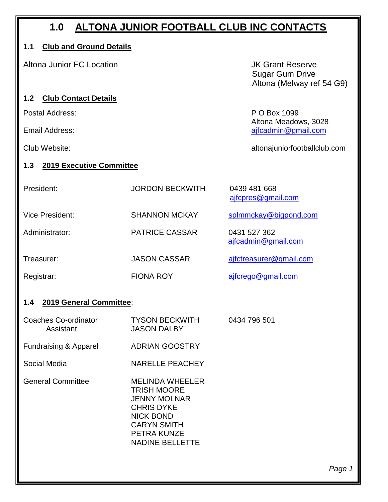## **1.0 ALTONA JUNIOR FOOTBALL CLUB INC CONTACTS**

#### **1.1 Club and Ground Details**

Altona Junior FC Location **Altona Junior FC Location JK Grant Reserve** 

#### **1.2 Club Contact Details**

Postal Address: P O Box 1099

 Sugar Gum Drive Altona (Melway ref 54 G9)

Altona Meadows, 3028 Email Address: and a structure of the structure of the structure of the structure of the structure of the structure of the structure of the structure of the structure of the structure of the structure of the structure of t

Club Website: altonajuniorfootballclub.com

#### **1.3 2019 Executive Committee**

| President:      | <b>JORDON BECKWITH</b> | 0439 481 668<br>ajfcpres@gmail.com  |
|-----------------|------------------------|-------------------------------------|
| Vice President: | <b>SHANNON MCKAY</b>   | splmmckay@bigpond.com               |
| Administrator:  | <b>PATRICE CASSAR</b>  | 0431 527 362<br>ajfcadmin@gmail.com |
| Treasurer:      | <b>JASON CASSAR</b>    | ajfctreasurer@gmail.com             |
| Registrar:      | <b>FIONA ROY</b>       | ajfcrego@gmail.com                  |

#### **1.4 2019 General Committee**:

| Coaches Co-ordinator<br>Assistant | <b>TYSON BECKWITH</b><br><b>JASON DALBY</b> | 0434 796 501 |
|-----------------------------------|---------------------------------------------|--------------|
| <b>Fundraising &amp; Apparel</b>  | <b>ADRIAN GOOSTRY</b>                       |              |
| Social Media                      | <b>NARELLE PEACHEY</b>                      |              |

General Committee MELINDA WHEELER TRISH MOORE JENNY MOLNAR CHRIS DYKE NICK BOND CARYN SMITH PETRA KUNZE NADINE BELLETTE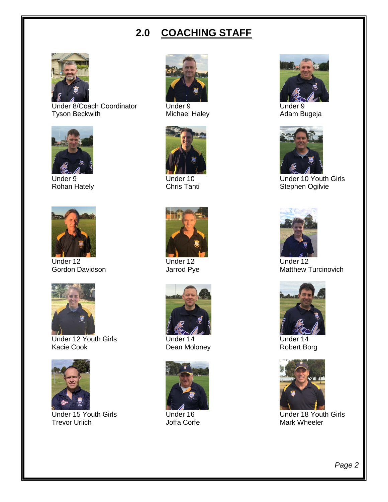## **2.0 COACHING STAFF**



Under 8/Coach Coordinator Under 9 Under 9 Under 9 Under 9 Under 9 Under 9 Under 9 Under 9 Under 9 Under 9 Under 9 Under 9 Under 9 Under 9 Under 9 Under 9 Under 9 Under 9 Under 9 Under 9 Under 9 Under 9 Under 9 Under 9 Unde Tyson Beckwith





Under 12 Under 12 Under 12



Under 12 Youth Girls **Under 14** Under 14 Under 14 Under 14 Under 14 Under 14 Under 14 Under 14 Under 14 Under 14 Under 14 Under 14 Under 14 Under 15 Under 15 Under 16 Under 16 Under 16 Under 16 Under 16 Under 16 Under 16 U Kacie Cook Dean Moloney



Under 15 Youth Girls **Constructed Under 16** Under 16 Under 18 Youth Girls **Under 18 Youth Girls** Trevor Urlich















Under 9 Under 10 Under 10 Under 10 Under 10 Youth Girls<br>
Rohan Hately Chris Tanti Chris Tanti Stephen Ogilvie Chris Tanti **Chris Tanti** Stephen Ogilvie



Gordon Davidson **Gordon Contract Contract Contract Contract Contract Contract Contract Contract Contract Contract Contract Contract Contract Contract Contract Contract Contract Contract Contract Contract Contract Contract** 



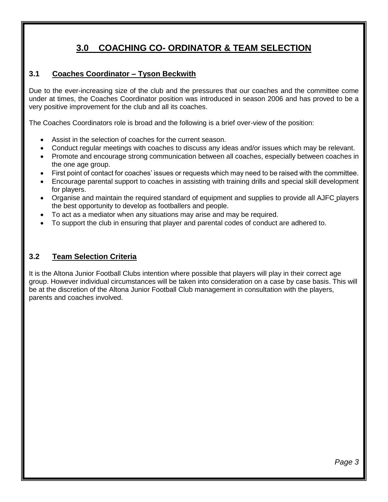## **3.0 COACHING CO- ORDINATOR & TEAM SELECTION**

#### **3.1 Coaches Coordinator – Tyson Beckwith**

Due to the ever-increasing size of the club and the pressures that our coaches and the committee come under at times, the Coaches Coordinator position was introduced in season 2006 and has proved to be a very positive improvement for the club and all its coaches.

The Coaches Coordinators role is broad and the following is a brief over-view of the position:

- Assist in the selection of coaches for the current season.
- Conduct regular meetings with coaches to discuss any ideas and/or issues which may be relevant.
- Promote and encourage strong communication between all coaches, especially between coaches in the one age group.
- First point of contact for coaches' issues or requests which may need to be raised with the committee.
- Encourage parental support to coaches in assisting with training drills and special skill development for players.
- Organise and maintain the required standard of equipment and supplies to provide all AJFC players the best opportunity to develop as footballers and people.
- To act as a mediator when any situations may arise and may be required.
- To support the club in ensuring that player and parental codes of conduct are adhered to.

#### **3.2 Team Selection Criteria**

It is the Altona Junior Football Clubs intention where possible that players will play in their correct age group. However individual circumstances will be taken into consideration on a case by case basis. This will be at the discretion of the Altona Junior Football Club management in consultation with the players, parents and coaches involved.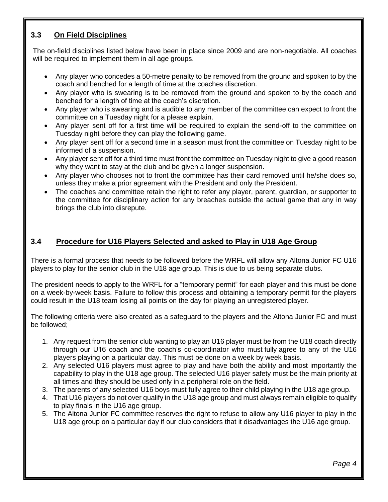#### **3.3 On Field Disciplines**

The on-field disciplines listed below have been in place since 2009 and are non-negotiable. All coaches will be required to implement them in all age groups.

- Any player who concedes a 50-metre penalty to be removed from the ground and spoken to by the coach and benched for a length of time at the coaches discretion.
- Any player who is swearing is to be removed from the ground and spoken to by the coach and benched for a length of time at the coach's discretion.
- Any player who is swearing and is audible to any member of the committee can expect to front the committee on a Tuesday night for a please explain.
- Any player sent off for a first time will be required to explain the send-off to the committee on Tuesday night before they can play the following game.
- Any player sent off for a second time in a season must front the committee on Tuesday night to be informed of a suspension.
- Any player sent off for a third time must front the committee on Tuesday night to give a good reason why they want to stay at the club and be given a longer suspension.
- Any player who chooses not to front the committee has their card removed until he/she does so, unless they make a prior agreement with the President and only the President.
- The coaches and committee retain the right to refer any player, parent, guardian, or supporter to the committee for disciplinary action for any breaches outside the actual game that any in way brings the club into disrepute.

#### **3.4****Procedure for U16 Players Selected and asked to Play in U18 Age Group**

There is a formal process that needs to be followed before the WRFL will allow any Altona Junior FC U16 players to play for the senior club in the U18 age group. This is due to us being separate clubs.

The president needs to apply to the WRFL for a "temporary permit" for each player and this must be done on a week-by-week basis. Failure to follow this process and obtaining a temporary permit for the players could result in the U18 team losing all points on the day for playing an unregistered player.

The following criteria were also created as a safeguard to the players and the Altona Junior FC and must be followed;

- 1. Any request from the senior club wanting to play an U16 player must be from the U18 coach directly through our U16 coach and the coach's co-coordinator who must fully agree to any of the U16 players playing on a particular day. This must be done on a week by week basis.
- 2. Any selected U16 players must agree to play and have both the ability and most importantly the capability to play in the U18 age group. The selected U16 player safety must be the main priority at all times and they should be used only in a peripheral role on the field.
- 3. The parents of any selected U16 boys must fully agree to their child playing in the U18 age group.
- 4. That U16 players do not over qualify in the U18 age group and must always remain eligible to qualify to play finals in the U16 age group.
- 5. The Altona Junior FC committee reserves the right to refuse to allow any U16 player to play in the U18 age group on a particular day if our club considers that it disadvantages the U16 age group.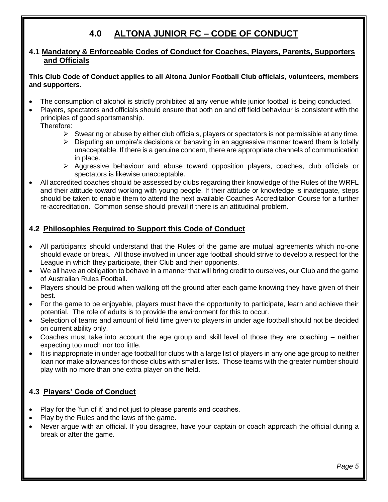## **4.0 ALTONA JUNIOR FC – CODE OF CONDUCT**

#### **4.1 Mandatory & Enforceable Codes of Conduct for Coaches, Players, Parents, Supporters and Officials**

#### **This Club Code of Conduct applies to all Altona Junior Football Club officials, volunteers, members and supporters.**

- The consumption of alcohol is strictly prohibited at any venue while junior football is being conducted.
- Players, spectators and officials should ensure that both on and off field behaviour is consistent with the principles of good sportsmanship. Therefore:
	- $\triangleright$  Swearing or abuse by either club officials, players or spectators is not permissible at any time.
	- $\triangleright$  Disputing an umpire's decisions or behaving in an aggressive manner toward them is totally unacceptable. If there is a genuine concern, there are appropriate channels of communication in place.
	- ➢ Aggressive behaviour and abuse toward opposition players, coaches, club officials or spectators is likewise unacceptable.
- All accredited coaches should be assessed by clubs regarding their knowledge of the Rules of the WRFL and their attitude toward working with young people. If their attitude or knowledge is inadequate, steps should be taken to enable them to attend the next available Coaches Accreditation Course for a further re-accreditation. Common sense should prevail if there is an attitudinal problem.

#### **4.2 Philosophies Required to Support this Code of Conduct**

- All participants should understand that the Rules of the game are mutual agreements which no-one should evade or break. All those involved in under age football should strive to develop a respect for the League in which they participate, their Club and their opponents.
- We all have an obligation to behave in a manner that will bring credit to ourselves, our Club and the game of Australian Rules Football.
- Players should be proud when walking off the ground after each game knowing they have given of their best.
- For the game to be enjoyable, players must have the opportunity to participate, learn and achieve their potential. The role of adults is to provide the environment for this to occur.
- Selection of teams and amount of field time given to players in under age football should not be decided on current ability only.
- Coaches must take into account the age group and skill level of those they are coaching neither expecting too much nor too little.
- It is inappropriate in under age football for clubs with a large list of players in any one age group to neither loan nor make allowances for those clubs with smaller lists. Those teams with the greater number should play with no more than one extra player on the field.

#### **4.3 Players' Code of Conduct**

- Play for the 'fun of it' and not just to please parents and coaches.
- Play by the Rules and the laws of the game.
- Never argue with an official. If you disagree, have your captain or coach approach the official during a break or after the game.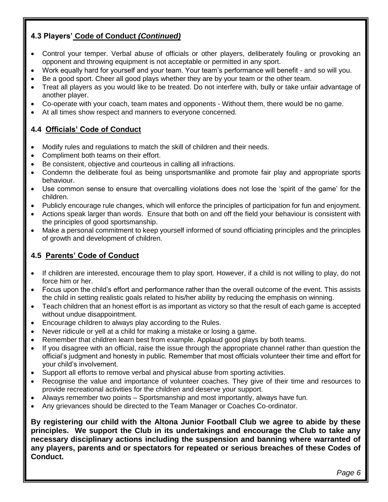#### **4.3 Players' Code of Conduct** *(Continued)*

- Control your temper. Verbal abuse of officials or other players, deliberately fouling or provoking an opponent and throwing equipment is not acceptable or permitted in any sport.
- Work equally hard for yourself and your team. Your team's performance will benefit and so will you.
- Be a good sport. Cheer all good plays whether they are by your team or the other team.
- Treat all players as you would like to be treated. Do not interfere with, bully or take unfair advantage of another player.
- Co-operate with your coach, team mates and opponents Without them, there would be no game.
- At all times show respect and manners to everyone concerned.

#### **4.4 Officials' Code of Conduct**

- Modify rules and regulations to match the skill of children and their needs.
- Compliment both teams on their effort.
- Be consistent, objective and courteous in calling all infractions.
- Condemn the deliberate foul as being unsportsmanlike and promote fair play and appropriate sports behaviour.
- Use common sense to ensure that overcalling violations does not lose the 'spirit of the game' for the children.
- Publicly encourage rule changes, which will enforce the principles of participation for fun and enjoyment.
- Actions speak larger than words. Ensure that both on and off the field your behaviour is consistent with the principles of good sportsmanship.
- Make a personal commitment to keep yourself informed of sound officiating principles and the principles of growth and development of children.

#### **4.5 Parents' Code of Conduct**

- If children are interested, encourage them to play sport. However, if a child is not willing to play, do not force him or her.
- Focus upon the child's effort and performance rather than the overall outcome of the event. This assists the child in setting realistic goals related to his/her ability by reducing the emphasis on winning.
- Teach children that an honest effort is as important as victory so that the result of each game is accepted without undue disappointment.
- Encourage children to always play according to the Rules.
- Never ridicule or yell at a child for making a mistake or losing a game.
- Remember that children learn best from example. Applaud good plays by both teams.
- If you disagree with an official, raise the issue through the appropriate channel rather than question the official's judgment and honesty in public. Remember that most officials volunteer their time and effort for your child's involvement.
- Support all efforts to remove verbal and physical abuse from sporting activities.
- Recognise the value and importance of volunteer coaches. They give of their time and resources to provide recreational activities for the children and deserve your support.
- Always remember two points Sportsmanship and most importantly, always have fun.
- Any grievances should be directed to the Team Manager or Coaches Co-ordinator.

**By registering our child with the Altona Junior Football Club we agree to abide by these principles. We support the Club in its undertakings and encourage the Club to take any necessary disciplinary actions including the suspension and banning where warranted of any players, parents and or spectators for repeated or serious breaches of these Codes of Conduct.**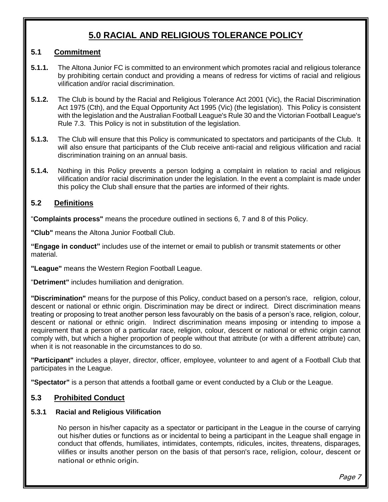## **5.0 RACIAL AND RELIGIOUS TOLERANCE POLICY**

#### **5.1 Commitment**

- **5.1.1.** The Altona Junior FC is committed to an environment which promotes racial and religious tolerance by prohibiting certain conduct and providing a means of redress for victims of racial and religious vilification and/or racial discrimination.
- **5.1.2.** The Club is bound by the Racial and Religious Tolerance Act 2001 (Vic), the Racial Discrimination Act 1975 (Cth), and the Equal Opportunity Act 1995 (Vic) (the legislation). This Policy is consistent with the legislation and the Australian Football League's Rule 30 and the Victorian Football League's Rule 7.3. This Policy is not in substitution of the legislation.
- **5.1.3.** The Club will ensure that this Policy is communicated to spectators and participants of the Club. It will also ensure that participants of the Club receive anti-racial and religious vilification and racial discrimination training on an annual basis.
- **5.1.4.** Nothing in this Policy prevents a person lodging a complaint in relation to racial and religious vilification and/or racial discrimination under the legislation. In the event a complaint is made under this policy the Club shall ensure that the parties are informed of their rights.

#### **5.2 Definitions**

"**Complaints process"** means the procedure outlined in sections 6, 7 and 8 of this Policy.

**"Club"** means the Altona Junior Football Club.

**"Engage in conduct"** includes use of the internet or email to publish or transmit statements or other material.

**"League"** means the Western Region Football League.

"**Detriment"** includes humiliation and denigration.

**"Discrimination"** means for the purpose of this Policy, conduct based on a person's race, religion, colour, descent or national or ethnic origin. Discrimination may be direct or indirect. Direct discrimination means treating or proposing to treat another person less favourably on the basis of a person's race, religion, colour, descent or national or ethnic origin. Indirect discrimination means imposing or intending to impose a requirement that a person of a particular race, religion, colour, descent or national or ethnic origin cannot comply with, but which a higher proportion of people without that attribute (or with a different attribute) can, when it is not reasonable in the circumstances to do so.

**"Participant"** includes a player, director, officer, employee, volunteer to and agent of a Football Club that participates in the League.

**"Spectator"** is a person that attends a football game or event conducted by a Club or the League.

#### **5.3 Prohibited Conduct**

#### **5.3.1 Racial and Religious Vilification**

No person in his/her capacity as a spectator or participant in the League in the course of carrying out his/her duties or functions as or incidental to being a participant in the League shall engage in conduct that offends, humiliates, intimidates, contempts, ridicules, incites, threatens, disparages, vilifies or insults another person on the basis of that person's race, religion, colour, descent or national or ethnic origin.

Page 7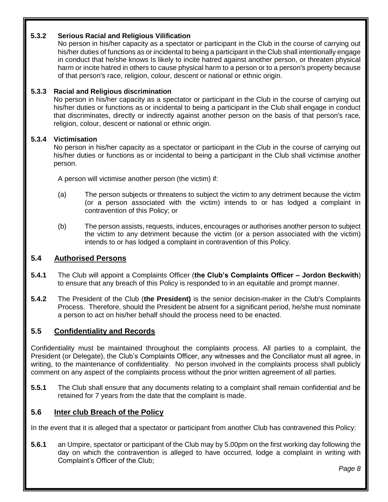#### **5.3.2 Serious Racial and Religious Vilification**

No person in his/her capacity as a spectator or participant in the Club in the course of carrying out his/her duties of functions as or incidental to being a participant in the Club shall intentionally engage in conduct that he/she knows Is likely to incite hatred against another person, or threaten physical harm or incite hatred in others to cause physical harm to a person or to a person's property because of that person's race, religion, colour, descent or national or ethnic origin.

#### **5.3.3 Racial and Religious discrimination**

No person in his/her capacity as a spectator or participant in the Club in the course of carrying out his/her duties or functions as or incidental to being a participant in the Club shall engage in conduct that discriminates, directly or indirectly against another person on the basis of that person's race, religion, colour, descent or national or ethnic origin.

#### **5.3.4 Victimisation**

No person in his/her capacity as a spectator or participant in the Club in the course of carrying out his/her duties or functions as or incidental to being a participant in the Club shall victimise another person.

A person will victimise another person (the victim) if:

- (a) The person subjects or threatens to subject the victim to any detriment because the victim (or a person associated with the victim) intends to or has lodged a complaint in contravention of this Policy; or
- (b) The person assists, requests, induces, encourages or authorises another person to subject the victim to any detriment because the victim (or a person associated with the victim) intends to or has lodged a complaint in contravention of this Policy.

#### **5.4 Authorised Persons**

- **5.4.1** The Club will appoint a Complaints Officer (**the Club's Complaints Officer – Jordon Beckwith**) to ensure that any breach of this Policy is responded to in an equitable and prompt manner.
- **5.4.2** The President of the Club (**the President)** is the senior decision-maker in the Club's Complaints Process. Therefore, should the President be absent for a significant period, he/she must nominate a person to act on his/her behalf should the process need to be enacted.

#### **5.5 Confidentiality and Records**

Confidentiality must be maintained throughout the complaints process. All parties to a complaint, the President (or Delegate), the Club's Complaints Officer, any witnesses and the Conciliator must all agree, in writing, to the maintenance of confidentiality. No person involved in the complaints process shall publicly comment on any aspect of the complaints process without the prior written agreement of all parties.

**5.5.1** The Club shall ensure that any documents relating to a complaint shall remain confidential and be retained for 7 years from the date that the complaint is made.

#### **5.6 Inter club Breach of the Policy**

In the event that it is alleged that a spectator or participant from another Club has contravened this Policy:

**5.6.1** an Umpire, spectator or participant of the Club may by 5.00pm on the first working day following the day on which the contravention is alleged to have occurred, lodge a complaint in writing with Complaint's Officer of the Club;

*Page 8*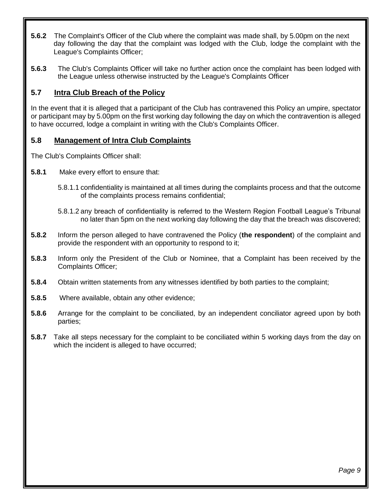- **5.6.2** The Complaint's Officer of the Club where the complaint was made shall, by 5.00pm on the next day following the day that the complaint was lodged with the Club, lodge the complaint with the League's Complaints Officer;
- **5.6.3** The Club's Complaints Officer will take no further action once the complaint has been lodged with the League unless otherwise instructed by the League's Complaints Officer

#### **5.7 Intra Club Breach of the Policy**

In the event that it is alleged that a participant of the Club has contravened this Policy an umpire, spectator or participant may by 5.00pm on the first working day following the day on which the contravention is alleged to have occurred, lodge a complaint in writing with the Club's Complaints Officer.

#### **5.8 Management of Intra Club Complaints**

The Club's Complaints Officer shall:

- **5.8.1** Make every effort to ensure that:
	- 5.8.1.1 confidentiality is maintained at all times during the complaints process and that the outcome of the complaints process remains confidential;
	- 5.8.1.2 any breach of confidentiality is referred to the Western Region Football League's Tribunal no later than 5pm on the next working day following the day that the breach was discovered;
- **5.8.2** Inform the person alleged to have contravened the Policy (**the respondent**) of the complaint and provide the respondent with an opportunity to respond to it;
- **5.8.3** Inform only the President of the Club or Nominee, that a Complaint has been received by the Complaints Officer;
- **5.8.4** Obtain written statements from any witnesses identified by both parties to the complaint;
- **5.8.5** Where available, obtain any other evidence;
- **5.8.6** Arrange for the complaint to be conciliated, by an independent conciliator agreed upon by both parties;
- **5.8.7** Take all steps necessary for the complaint to be conciliated within 5 working days from the day on which the incident is alleged to have occurred;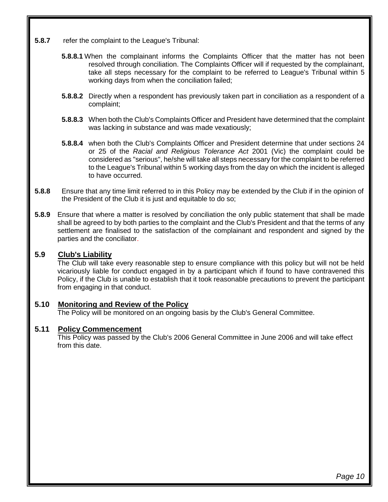- **5.8.7** refer the complaint to the League's Tribunal:
	- **5.8.8.1** When the complainant informs the Complaints Officer that the matter has not been resolved through conciliation. The Complaints Officer will if requested by the complainant, take all steps necessary for the complaint to be referred to League's Tribunal within 5 working days from when the conciliation failed;
	- **5.8.8.2** Directly when a respondent has previously taken part in conciliation as a respondent of a complaint;
	- **5.8.8.3** When both the Club's Complaints Officer and President have determined that the complaint was lacking in substance and was made vexatiously;
	- **5.8.8.4** when both the Club's Complaints Officer and President determine that under sections 24 or 25 of the *Racial and Religious Tolerance Act* 2001 (Vic) the complaint could be considered as "serious", he/she will take all steps necessary for the complaint to be referred to the League's Tribunal within 5 working days from the day on which the incident is alleged to have occurred.
- **5.8.8** Ensure that any time limit referred to in this Policy may be extended by the Club if in the opinion of the President of the Club it is just and equitable to do so;
- **5.8.9** Ensure that where a matter is resolved by conciliation the only public statement that shall be made shall be agreed to by both parties to the complaint and the Club's President and that the terms of any settlement are finalised to the satisfaction of the complainant and respondent and signed by the parties and the conciliator.

#### **5.9 Club's Liability**

The Club will take every reasonable step to ensure compliance with this policy but will not be held vicariously liable for conduct engaged in by a participant which if found to have contravened this Policy, if the Club is unable to establish that it took reasonable precautions to prevent the participant from engaging in that conduct.

#### **5.10 Monitoring and Review of the Policy**

The Policy will be monitored on an ongoing basis by the Club's General Committee.

#### **5.11 Policy Commencement**

This Policy was passed by the Club's 2006 General Committee in June 2006 and will take effect from this date.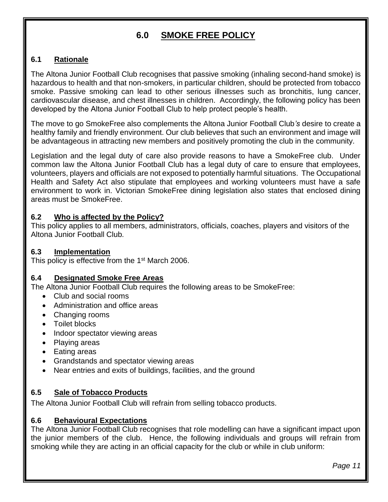## **6.0 SMOKE FREE POLICY**

#### **6.1 Rationale**

The Altona Junior Football Club recognises that passive smoking (inhaling second-hand smoke) is hazardous to health and that non-smokers, in particular children, should be protected from tobacco smoke. Passive smoking can lead to other serious illnesses such as bronchitis, lung cancer, cardiovascular disease, and chest illnesses in children. Accordingly, the following policy has been developed by the Altona Junior Football Club to help protect people's health.

The move to go SmokeFree also complements the Altona Junior Football Club*'s* desire to create a healthy family and friendly environment. Our club believes that such an environment and image will be advantageous in attracting new members and positively promoting the club in the community.

Legislation and the legal duty of care also provide reasons to have a SmokeFree club. Under common law the Altona Junior Football Club has a legal duty of care to ensure that employees, volunteers, players and officials are not exposed to potentially harmful situations. The Occupational Health and Safety Act also stipulate that employees and working volunteers must have a safe environment to work in. Victorian SmokeFree dining legislation also states that enclosed dining areas must be SmokeFree.

#### **6.2 Who is affected by the Policy?**

This policy applies to all members, administrators, officials, coaches, players and visitors of the Altona Junior Football Club*.*

#### **6.3 Implementation**

This policy is effective from the 1<sup>st</sup> March 2006.

#### **6.4 Designated Smoke Free Areas**

The Altona Junior Football Club requires the following areas to be SmokeFree:

- Club and social rooms
- Administration and office areas
- Changing rooms
- Toilet blocks
- Indoor spectator viewing areas
- Playing areas
- Eating areas
- Grandstands and spectator viewing areas
- Near entries and exits of buildings, facilities, and the ground

#### **6.5 Sale of Tobacco Products**

The Altona Junior Football Club will refrain from selling tobacco products.

#### **6.6 Behavioural Expectations**

The Altona Junior Football Club recognises that role modelling can have a significant impact upon the junior members of the club. Hence, the following individuals and groups will refrain from smoking while they are acting in an official capacity for the club or while in club uniform:

*Page 11*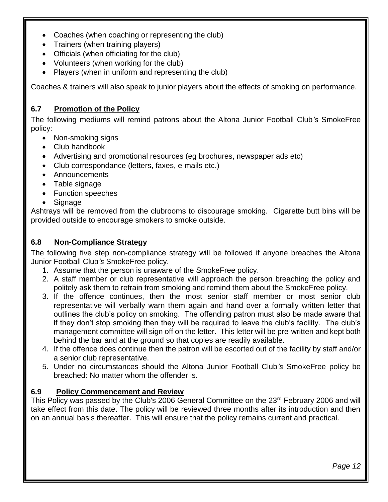- Coaches (when coaching or representing the club)
- Trainers (when training players)
- Officials (when officiating for the club)
- Volunteers (when working for the club)
- Players (when in uniform and representing the club)

Coaches & trainers will also speak to junior players about the effects of smoking on performance.

#### **6.7 Promotion of the Policy**

The following mediums will remind patrons about the Altona Junior Football Club*'s* SmokeFree policy:

- Non-smoking signs
- Club handbook
- Advertising and promotional resources (eg brochures, newspaper ads etc)
- Club correspondance (letters, faxes, e-mails etc.)
- Announcements
- Table signage
- Function speeches
- Signage

Ashtrays will be removed from the clubrooms to discourage smoking. Cigarette butt bins will be provided outside to encourage smokers to smoke outside.

#### **6.8 Non-Compliance Strategy**

The following five step non-compliance strategy will be followed if anyone breaches the Altona Junior Football Club*'s* SmokeFree policy.

- 1. Assume that the person is unaware of the SmokeFree policy.
- 2. A staff member or club representative will approach the person breaching the policy and politely ask them to refrain from smoking and remind them about the SmokeFree policy.
- 3. If the offence continues, then the most senior staff member or most senior club representative will verbally warn them again and hand over a formally written letter that outlines the club's policy on smoking. The offending patron must also be made aware that if they don't stop smoking then they will be required to leave the club's facility. The club's management committee will sign off on the letter. This letter will be pre-written and kept both behind the bar and at the ground so that copies are readily available.
- 4. If the offence does continue then the patron will be escorted out of the facility by staff and/or a senior club representative.
- 5. Under no circumstances should the Altona Junior Football Club*'s* SmokeFree policy be breached: No matter whom the offender is.

#### **6.9 Policy Commencement and Review**

This Policy was passed by the Club's 2006 General Committee on the 23<sup>rd</sup> February 2006 and will take effect from this date. The policy will be reviewed three months after its introduction and then on an annual basis thereafter. This will ensure that the policy remains current and practical.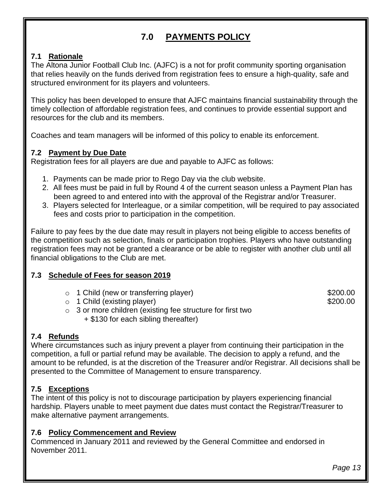## **7.0 PAYMENTS POLICY**

#### **7.1 Rationale**

The Altona Junior Football Club Inc. (AJFC) is a not for profit community sporting organisation that relies heavily on the funds derived from registration fees to ensure a high-quality, safe and structured environment for its players and volunteers.

This policy has been developed to ensure that AJFC maintains financial sustainability through the timely collection of affordable registration fees, and continues to provide essential support and resources for the club and its members.

Coaches and team managers will be informed of this policy to enable its enforcement.

#### **7.2 Payment by Due Date**

Registration fees for all players are due and payable to AJFC as follows:

- 1. Payments can be made prior to Rego Day via the club website.
- 2. All fees must be paid in full by Round 4 of the current season unless a Payment Plan has been agreed to and entered into with the approval of the Registrar and/or Treasurer.
- 3. Players selected for Interleague, or a similar competition, will be required to pay associated fees and costs prior to participation in the competition.

Failure to pay fees by the due date may result in players not being eligible to access benefits of the competition such as selection, finals or participation trophies. Players who have outstanding registration fees may not be granted a clearance or be able to register with another club until all financial obligations to the Club are met.

#### **7.3 Schedule of Fees for season 2019**

o 1 Child (new or transferring player) 6 (1) 1 Child (new or transferring player)

o 1 Child (existing player)  $\sim$  5200.00

- o 3 or more children (existing fee structure for first two
	- + \$130 for each sibling thereafter)

#### **7.4 Refunds**

Where circumstances such as injury prevent a player from continuing their participation in the competition, a full or partial refund may be available. The decision to apply a refund, and the amount to be refunded, is at the discretion of the Treasurer and/or Registrar. All decisions shall be presented to the Committee of Management to ensure transparency.

#### **7.5 Exceptions**

The intent of this policy is not to discourage participation by players experiencing financial hardship. Players unable to meet payment due dates must contact the Registrar/Treasurer to make alternative payment arrangements.

#### **7.6 Policy Commencement and Review**

Commenced in January 2011 and reviewed by the General Committee and endorsed in November 2011.

*Page 13*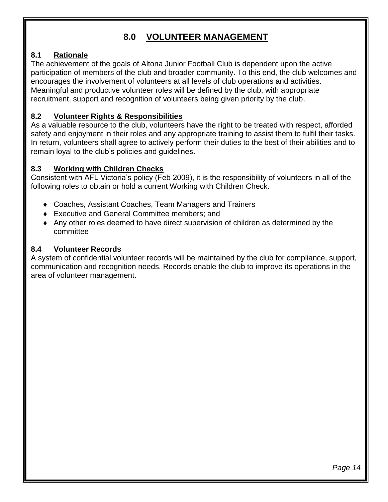### **8.0 VOLUNTEER MANAGEMENT**

#### **8.1 Rationale**

The achievement of the goals of Altona Junior Football Club is dependent upon the active participation of members of the club and broader community. To this end, the club welcomes and encourages the involvement of volunteers at all levels of club operations and activities. Meaningful and productive volunteer roles will be defined by the club, with appropriate recruitment, support and recognition of volunteers being given priority by the club.

#### **8.2 Volunteer Rights & Responsibilities**

As a valuable resource to the club, volunteers have the right to be treated with respect, afforded safety and enjoyment in their roles and any appropriate training to assist them to fulfil their tasks. In return, volunteers shall agree to actively perform their duties to the best of their abilities and to remain loyal to the club's policies and guidelines.

#### **8.3 Working with Children Checks**

Consistent with AFL Victoria's policy (Feb 2009), it is the responsibility of volunteers in all of the following roles to obtain or hold a current Working with Children Check.

- Coaches, Assistant Coaches, Team Managers and Trainers
- ◆ Executive and General Committee members: and
- Any other roles deemed to have direct supervision of children as determined by the committee

#### **8.4 Volunteer Records**

A system of confidential volunteer records will be maintained by the club for compliance, support, communication and recognition needs. Records enable the club to improve its operations in the area of volunteer management.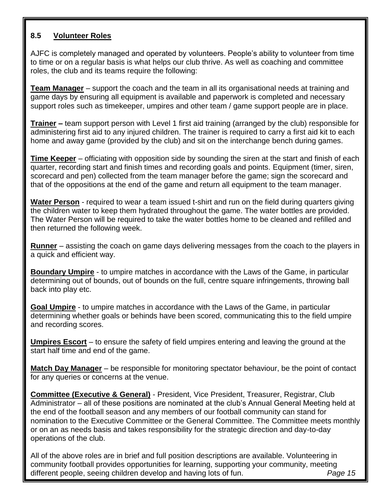#### **8.5 Volunteer Roles**

AJFC is completely managed and operated by volunteers. People's ability to volunteer from time to time or on a regular basis is what helps our club thrive. As well as coaching and committee roles, the club and its teams require the following:

**Team Manager** – support the coach and the team in all its organisational needs at training and game days by ensuring all equipment is available and paperwork is completed and necessary support roles such as timekeeper, umpires and other team / game support people are in place.

**Trainer –** team support person with Level 1 first aid training (arranged by the club) responsible for administering first aid to any injured children. The trainer is required to carry a first aid kit to each home and away game (provided by the club) and sit on the interchange bench during games.

**Time Keeper** – officiating with opposition side by sounding the siren at the start and finish of each quarter, recording start and finish times and recording goals and points. Equipment (timer, siren, scorecard and pen) collected from the team manager before the game; sign the scorecard and that of the oppositions at the end of the game and return all equipment to the team manager.

**Water Person** - required to wear a team issued t-shirt and run on the field during quarters giving the children water to keep them hydrated throughout the game. The water bottles are provided. The Water Person will be required to take the water bottles home to be cleaned and refilled and then returned the following week.

**Runner** – assisting the coach on game days delivering messages from the coach to the players in a quick and efficient way.

**Boundary Umpire** - to umpire matches in accordance with the Laws of the Game, in particular determining out of bounds, out of bounds on the full, centre square infringements, throwing ball back into play etc.

**Goal Umpire** - to umpire matches in accordance with the Laws of the Game, in particular determining whether goals or behinds have been scored, communicating this to the field umpire and recording scores.

**Umpires Escort** – to ensure the safety of field umpires entering and leaving the ground at the start half time and end of the game.

**Match Day Manager** – be responsible for monitoring spectator behaviour, be the point of contact for any queries or concerns at the venue.

**Committee (Executive & General)** - President, Vice President, Treasurer, Registrar, Club Administrator – all of these positions are nominated at the club's Annual General Meeting held at the end of the football season and any members of our football community can stand for nomination to the Executive Committee or the General Committee. The Committee meets monthly or on an as needs basis and takes responsibility for the strategic direction and day-to-day operations of the club.

All of the above roles are in brief and full position descriptions are available. Volunteering in community football provides opportunities for learning, supporting your community, meeting different people, seeing children develop and having lots of fun. *Page 15*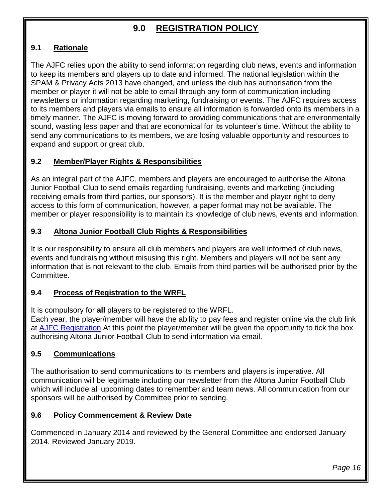## **9.0 REGISTRATION POLICY**

#### **9.1 Rationale**

The AJFC relies upon the ability to send information regarding club news, events and information to keep its members and players up to date and informed. The national legislation within the SPAM & Privacy Acts 2013 have changed, and unless the club has authorisation from the member or player it will not be able to email through any form of communication including newsletters or information regarding marketing, fundraising or events. The AJFC requires access to its members and players via emails to ensure all information is forwarded onto its members in a timely manner. The AJFC is moving forward to providing communications that are environmentally sound, wasting less paper and that are economical for its volunteer's time. Without the ability to send any communications to its members, we are losing valuable opportunity and resources to expand and support or great club.

#### **9.2 Member/Player Rights & Responsibilities**

As an integral part of the AJFC, members and players are encouraged to authorise the Altona Junior Football Club to send emails regarding fundraising, events and marketing (including receiving emails from third parties, our sponsors). It is the member and player right to deny access to this form of communication, however, a paper format may not be available. The member or player responsibility is to maintain its knowledge of club news, events and information.

#### **9.3 Altona Junior Football Club Rights & Responsibilities**

It is our responsibility to ensure all club members and players are well informed of club news, events and fundraising without misusing this right. Members and players will not be sent any information that is not relevant to the club. Emails from third parties will be authorised prior by the Committee.

#### **9.4 Process of Registration to the WRFL**

It is compulsory for **all** players to be registered to the WRFL.

Each year, the player/member will have the ability to pay fees and register online via the club link at [AJFC Registration](https://reg.sportingpulse.com/v6/regoform.cgi?aID=3007&pKey=18082119f6c347cbd16cabf25a94f496&cID=317&formID=36056) At this point the player/member will be given the opportunity to tick the box authorising Altona Junior Football Club to send information via email.

#### **9.5 Communications**

The authorisation to send communications to its members and players is imperative. All communication will be legitimate including our newsletter from the Altona Junior Football Club which will include all upcoming dates to remember and team news. All communication from our sponsors will be authorised by Committee prior to sending.

#### **9.6 Policy Commencement & Review Date**

Commenced in January 2014 and reviewed by the General Committee and endorsed January 2014. Reviewed January 2019.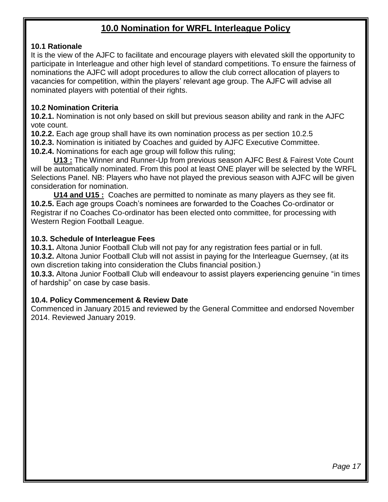### **10.0 Nomination for WRFL Interleague Policy**

#### **10.1 Rationale**

It is the view of the AJFC to facilitate and encourage players with elevated skill the opportunity to participate in Interleague and other high level of standard competitions. To ensure the fairness of nominations the AJFC will adopt procedures to allow the club correct allocation of players to vacancies for competition, within the players' relevant age group. The AJFC will advise all nominated players with potential of their rights.

#### **10.2 Nomination Criteria**

**10.2.1.** Nomination is not only based on skill but previous season ability and rank in the AJFC vote count.

**10.2.2.** Each age group shall have its own nomination process as per section 10.2.5

**10.2.3.** Nomination is initiated by Coaches and guided by AJFC Executive Committee.

**10.2.4.** Nominations for each age group will follow this ruling;

**U13 :** The Winner and Runner-Up from previous season AJFC Best & Fairest Vote Count will be automatically nominated. From this pool at least ONE player will be selected by the WRFL Selections Panel. NB: Players who have not played the previous season with AJFC will be given consideration for nomination.

**U14 and U15 :** Coaches are permitted to nominate as many players as they see fit. **10.2.5.** Each age groups Coach's nominees are forwarded to the Coaches Co-ordinator or Registrar if no Coaches Co-ordinator has been elected onto committee, for processing with Western Region Football League.

#### **10.3. Schedule of Interleague Fees**

**10.3.1.** Altona Junior Football Club will not pay for any registration fees partial or in full.

**10.3.2.** Altona Junior Football Club will not assist in paying for the Interleague Guernsey, (at its own discretion taking into consideration the Clubs financial position.)

**10.3.3.** Altona Junior Football Club will endeavour to assist players experiencing genuine "in times of hardship" on case by case basis.

#### **10.4. Policy Commencement & Review Date**

Commenced in January 2015 and reviewed by the General Committee and endorsed November 2014. Reviewed January 2019.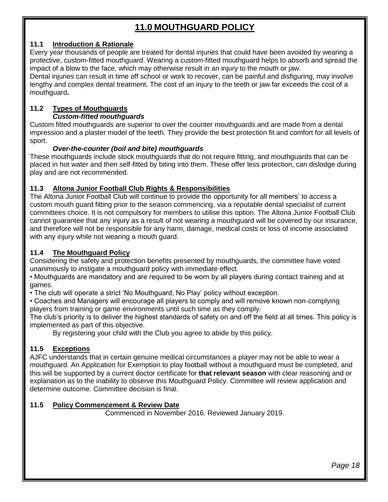## **11.0 MOUTHGUARD POLICY**

#### **11.1 Introduction & Rationale**

Every year thousands of people are treated for dental injuries that could have been avoided by wearing a protective, custom-fitted mouthguard. Wearing a custom-fitted mouthguard helps to absorb and spread the impact of a blow to the face, which may otherwise result in an injury to the mouth or jaw.

Dental injuries can result in time off school or work to recover, can be painful and disfiguring, may involve lengthy and complex dental treatment. The cost of an injury to the teeth or jaw far exceeds the cost of a mouthguard**.**

#### **11.2 Types of Mouthguards** *Custom-fitted mouthguards*

Custom fitted mouthguards are superior to over the counter mouthguards and are made from a dental impression and a plaster model of the teeth. They provide the best protection fit and comfort for all levels of sport.

#### *Over-the-counter (boil and bite) mouthguards*

These mouthguards include stock mouthguards that do not require fitting, and mouthguards that can be placed in hot water and then self-fitted by biting into them. These offer less protection, can dislodge during play and are not recommended.

#### **11.3 Altona Junior Football Club Rights & Responsibilities**

The Altona Junior Football Club will continue to provide the opportunity for all members' to access a custom mouth guard fitting prior to the season commencing, via a reputable dental specialist of current committees choice. It is not compulsory for members to utilise this option. The Altona Junior Football Club cannot guarantee that any injury as a result of not wearing a mouthguard will be covered by our insurance, and therefore will not be responsible for any harm, damage, medical costs or loss of income associated with any injury while not wearing a mouth guard.

#### **11.4 The Mouthguard Policy**

Considering the safety and protection benefits presented by mouthguards, the committee have voted unanimously to instigate a mouthguard policy with immediate effect.

• Mouthguards are mandatory and are required to be worn by all players during contact training and at games.

• The club will operate a strict 'No Mouthguard, No Play' policy without exception.

• Coaches and Managers will encourage all players to comply and will remove known non-complying players from training or game environments until such time as they comply.

The club's priority is to deliver the highest standards of safety on and off the field at all times. This policy is implemented as part of this objective.

By registering your child with the Club you agree to abide by this policy.

#### **11.5 Exceptions**

AJFC understands that in certain genuine medical circumstances a player may not be able to wear a mouthguard. An Application for Exemption to play football without a mouthguard must be completed, and this will be supported by a current doctor certificate for **that relevant season** with clear reasoning and or explanation as to the inability to observe this Mouthguard Policy. Committee will review application and determine outcome. Committee decision is final.

#### **11.5 Policy Commencement & Review Date**

Commenced in November 2016. Reviewed January 2019.